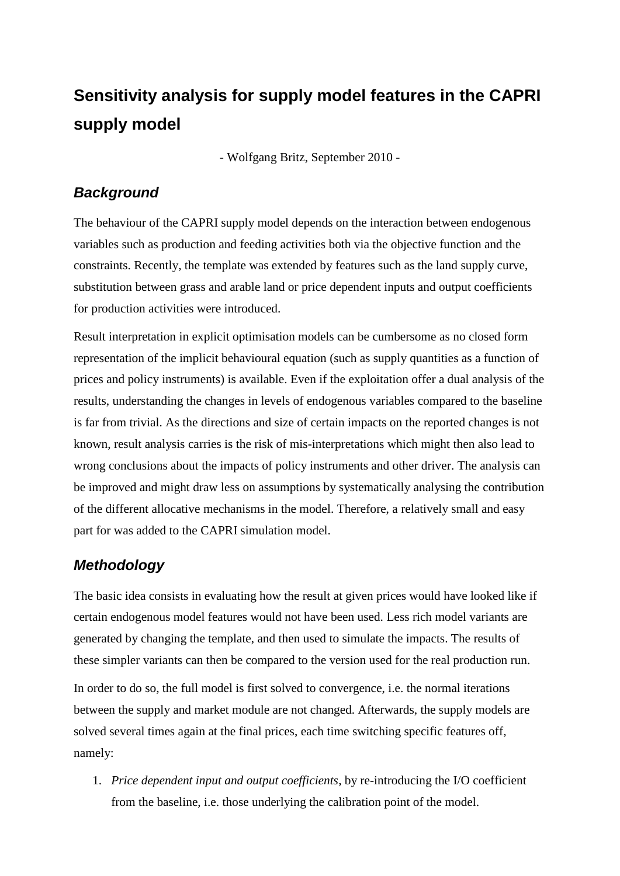## **Sensitivity analysis for supply model features in the CAPRI supply model**

- Wolfgang Britz, September 2010 -

## *Background*

The behaviour of the CAPRI supply model depends on the interaction between endogenous variables such as production and feeding activities both via the objective function and the constraints. Recently, the template was extended by features such as the land supply curve, substitution between grass and arable land or price dependent inputs and output coefficients for production activities were introduced.

Result interpretation in explicit optimisation models can be cumbersome as no closed form representation of the implicit behavioural equation (such as supply quantities as a function of prices and policy instruments) is available. Even if the exploitation offer a dual analysis of the results, understanding the changes in levels of endogenous variables compared to the baseline is far from trivial. As the directions and size of certain impacts on the reported changes is not known, result analysis carries is the risk of mis-interpretations which might then also lead to wrong conclusions about the impacts of policy instruments and other driver. The analysis can be improved and might draw less on assumptions by systematically analysing the contribution of the different allocative mechanisms in the model. Therefore, a relatively small and easy part for was added to the CAPRI simulation model.

## *Methodology*

The basic idea consists in evaluating how the result at given prices would have looked like if certain endogenous model features would not have been used. Less rich model variants are generated by changing the template, and then used to simulate the impacts. The results of these simpler variants can then be compared to the version used for the real production run.

In order to do so, the full model is first solved to convergence, i.e. the normal iterations between the supply and market module are not changed. Afterwards, the supply models are solved several times again at the final prices, each time switching specific features off, namely:

1. *Price dependent input and output coefficients*, by re-introducing the I/O coefficient from the baseline, i.e. those underlying the calibration point of the model.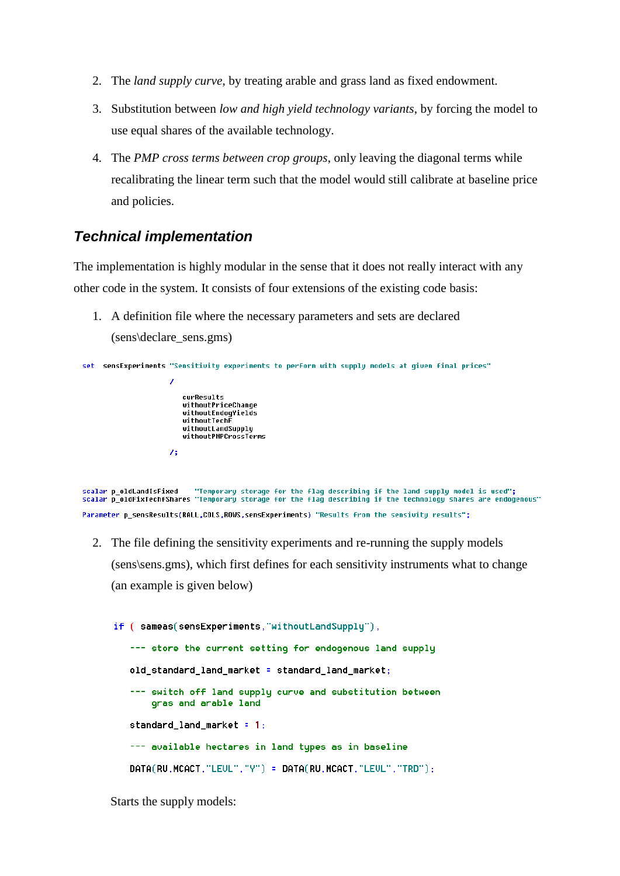- 2. The *land supply curve*, by treating arable and grass land as fixed endowment.
- 3. Substitution between *low and high yield technology variants*, by forcing the model to use equal shares of the available technology.
- 4. The *PMP cross terms between crop groups*, only leaving the diagonal terms while recalibrating the linear term such that the model would still calibrate at baseline price and policies.

## *Technical implementation*

The implementation is highly modular in the sense that it does not really interact with any other code in the system. It consists of four extensions of the existing code basis:

1. A definition file where the necessary parameters and sets are declared (sens\declare\_sens.gms)

```
set sensExperiments "Sensitivity experiments to perform with supply models at given final prices"
                             curResults
                             withoutPriceChange
                             withoutEndogYields
                             withoutTechF
                             withoutlethr<br>withoutLandSupply<br>withoutPMPCrossTerms
                          \lambda
```
"Temporary storage for the flag describing if the land supply model is used"; scalar **p** oldLandIsFixed scalar poldFixTechfShares "Temporary storage for the flag describing if the technology shares are endogenous" Parameter p\_sensResults(RALL,COLS,ROWS,sensExperiments) "Results from the sensivity results";

2. The file defining the sensitivity experiments and re-running the supply models (sens\sens.gms), which first defines for each sensitivity instruments what to change (an example is given below)

```
if ( sameas(sensExperiments, "withoutLandSupply"),
  --- store the current setting for endogenous land supply
  old_standard_land_market = standard_land_market;
   --- switch off land supply curve and substitution between
       gras and arable land
  standard land market = 1;
   --- available hectares in land types as in baseline
  DATA(RU, MCACT, "LEUL", "Y") = DATA(RU, MCACT, "LEUL", "TRD");
```
Starts the supply models: